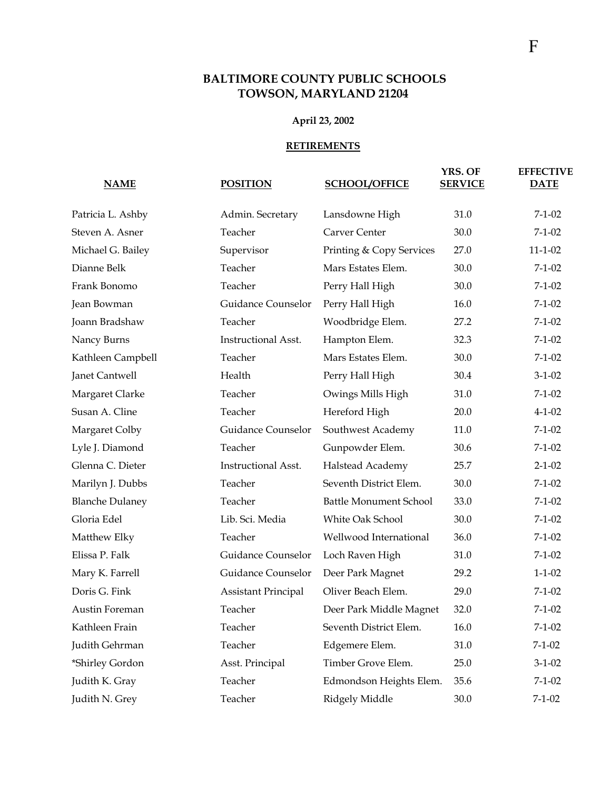## **BALTIMORE COUNTY PUBLIC SCHOOLS TOWSON, MARYLAND 21204**

## **April 23, 2002**

## **RETIREMENTS**

| <b>NAME</b>            | <b>POSITION</b>            | <b>SCHOOL/OFFICE</b>          | YRS. OF<br><b>SERVICE</b> | <b>EFFECTIVE</b><br><b>DATE</b> |
|------------------------|----------------------------|-------------------------------|---------------------------|---------------------------------|
| Patricia L. Ashby      | Admin. Secretary           | Lansdowne High                | 31.0                      | $7 - 1 - 02$                    |
| Steven A. Asner        | Teacher                    | Carver Center                 | 30.0                      | $7 - 1 - 02$                    |
| Michael G. Bailey      | Supervisor                 | Printing & Copy Services      | 27.0                      | $11 - 1 - 02$                   |
| Dianne Belk            | Teacher                    | Mars Estates Elem.            | 30.0                      | $7-1-02$                        |
| Frank Bonomo           | Teacher                    | Perry Hall High               | 30.0                      | $7 - 1 - 02$                    |
| Jean Bowman            | Guidance Counselor         | Perry Hall High               | 16.0                      | $7 - 1 - 02$                    |
| Joann Bradshaw         | Teacher                    | Woodbridge Elem.              | 27.2                      | $7 - 1 - 02$                    |
| Nancy Burns            | <b>Instructional Asst.</b> | Hampton Elem.                 | 32.3                      | $7 - 1 - 02$                    |
| Kathleen Campbell      | Teacher                    | Mars Estates Elem.            | 30.0                      | $7 - 1 - 02$                    |
| Janet Cantwell         | Health                     | Perry Hall High               | 30.4                      | $3-1-02$                        |
| Margaret Clarke        | Teacher                    | Owings Mills High             | 31.0                      | $7-1-02$                        |
| Susan A. Cline         | Teacher                    | Hereford High                 | 20.0                      | $4 - 1 - 02$                    |
| Margaret Colby         | Guidance Counselor         | Southwest Academy             | 11.0                      | $7 - 1 - 02$                    |
| Lyle J. Diamond        | Teacher                    | Gunpowder Elem.               | 30.6                      | $7 - 1 - 02$                    |
| Glenna C. Dieter       | <b>Instructional Asst.</b> | Halstead Academy              | 25.7                      | $2 - 1 - 02$                    |
| Marilyn J. Dubbs       | Teacher                    | Seventh District Elem.        | 30.0                      | $7 - 1 - 02$                    |
| <b>Blanche Dulaney</b> | Teacher                    | <b>Battle Monument School</b> | 33.0                      | $7 - 1 - 02$                    |
| Gloria Edel            | Lib. Sci. Media            | White Oak School              | 30.0                      | $7-1-02$                        |
| Matthew Elky           | Teacher                    | Wellwood International        | 36.0                      | $7 - 1 - 02$                    |
| Elissa P. Falk         | Guidance Counselor         | Loch Raven High               | 31.0                      | $7 - 1 - 02$                    |
| Mary K. Farrell        | Guidance Counselor         | Deer Park Magnet              | 29.2                      | $1 - 1 - 02$                    |
| Doris G. Fink          | <b>Assistant Principal</b> | Oliver Beach Elem.            | 29.0                      | $7 - 1 - 02$                    |
| Austin Foreman         | Teacher                    | Deer Park Middle Magnet       | 32.0                      | $7 - 1 - 02$                    |
| Kathleen Frain         | Teacher                    | Seventh District Elem.        | 16.0                      | $7 - 1 - 02$                    |
| Judith Gehrman         | Teacher                    | Edgemere Elem.                | 31.0                      | $7 - 1 - 02$                    |
| *Shirley Gordon        | Asst. Principal            | Timber Grove Elem.            | 25.0                      | $3-1-02$                        |
| Judith K. Gray         | Teacher                    | Edmondson Heights Elem.       | 35.6                      | $7 - 1 - 02$                    |
| Judith N. Grey         | Teacher                    | Ridgely Middle                | $30.0\,$                  | $7 - 1 - 02$                    |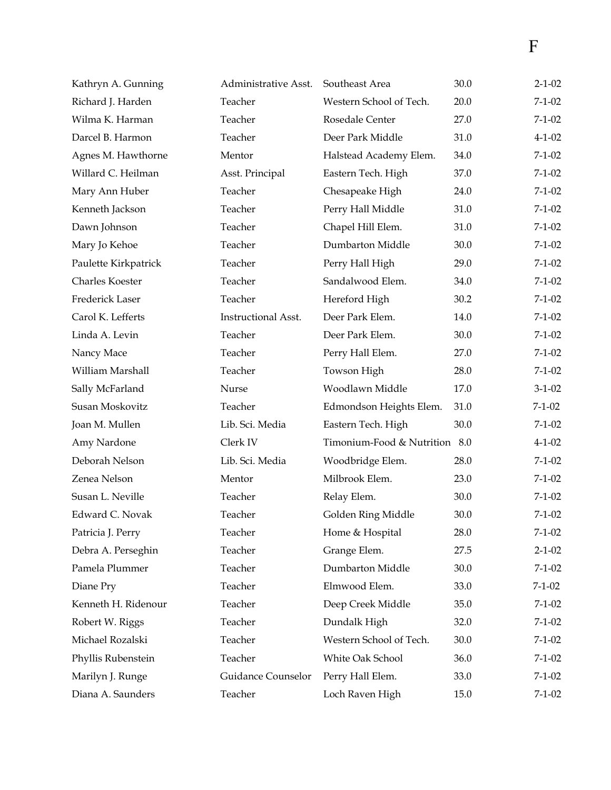| Kathryn A. Gunning   | Administrative Asst. | Southeast Area                | 30.0 | $2 - 1 - 02$ |
|----------------------|----------------------|-------------------------------|------|--------------|
| Richard J. Harden    | Teacher              | Western School of Tech.       | 20.0 | $7 - 1 - 02$ |
| Wilma K. Harman      | Teacher              | Rosedale Center               | 27.0 | $7 - 1 - 02$ |
| Darcel B. Harmon     | Teacher              | Deer Park Middle              | 31.0 | $4 - 1 - 02$ |
| Agnes M. Hawthorne   | Mentor               | Halstead Academy Elem.        | 34.0 | $7 - 1 - 02$ |
| Willard C. Heilman   | Asst. Principal      | Eastern Tech. High            | 37.0 | $7 - 1 - 02$ |
| Mary Ann Huber       | Teacher              | Chesapeake High               | 24.0 | $7 - 1 - 02$ |
| Kenneth Jackson      | Teacher              | Perry Hall Middle             | 31.0 | $7 - 1 - 02$ |
| Dawn Johnson         | Teacher              | Chapel Hill Elem.             | 31.0 | $7 - 1 - 02$ |
| Mary Jo Kehoe        | Teacher              | Dumbarton Middle              | 30.0 | $7 - 1 - 02$ |
| Paulette Kirkpatrick | Teacher              | Perry Hall High               | 29.0 | $7 - 1 - 02$ |
| Charles Koester      | Teacher              | Sandalwood Elem.              | 34.0 | $7 - 1 - 02$ |
| Frederick Laser      | Teacher              | Hereford High                 | 30.2 | $7 - 1 - 02$ |
| Carol K. Lefferts    | Instructional Asst.  | Deer Park Elem.               | 14.0 | $7 - 1 - 02$ |
| Linda A. Levin       | Teacher              | Deer Park Elem.               | 30.0 | $7 - 1 - 02$ |
| Nancy Mace           | Teacher              | Perry Hall Elem.              | 27.0 | $7 - 1 - 02$ |
| William Marshall     | Teacher              | Towson High                   | 28.0 | $7 - 1 - 02$ |
| Sally McFarland      | Nurse                | Woodlawn Middle               | 17.0 | $3-1-02$     |
| Susan Moskovitz      | Teacher              | Edmondson Heights Elem.       | 31.0 | $7 - 1 - 02$ |
| Joan M. Mullen       | Lib. Sci. Media      | Eastern Tech. High            | 30.0 | $7 - 1 - 02$ |
| Amy Nardone          | Clerk IV             | Timonium-Food & Nutrition 8.0 |      | $4 - 1 - 02$ |
| Deborah Nelson       | Lib. Sci. Media      | Woodbridge Elem.              | 28.0 | $7 - 1 - 02$ |
| Zenea Nelson         | Mentor               | Milbrook Elem.                | 23.0 | $7 - 1 - 02$ |
| Susan L. Neville     | Teacher              | Relay Elem.                   | 30.0 | $7 - 1 - 02$ |
| Edward C. Novak      | Teacher              | Golden Ring Middle            | 30.0 | $7 - 1 - 02$ |
| Patricia J. Perry    | Teacher              | Home & Hospital               | 28.0 | $7 - 1 - 02$ |
| Debra A. Perseghin   | Teacher              | Grange Elem.                  | 27.5 | $2 - 1 - 02$ |
| Pamela Plummer       | Teacher              | Dumbarton Middle              | 30.0 | $7 - 1 - 02$ |
| Diane Pry            | Teacher              | Elmwood Elem.                 | 33.0 | $7 - 1 - 02$ |
| Kenneth H. Ridenour  | Teacher              | Deep Creek Middle             | 35.0 | $7 - 1 - 02$ |
| Robert W. Riggs      | Teacher              | Dundalk High                  | 32.0 | $7 - 1 - 02$ |
| Michael Rozalski     | Teacher              | Western School of Tech.       | 30.0 | $7-1-02$     |
| Phyllis Rubenstein   | Teacher              | White Oak School              | 36.0 | $7 - 1 - 02$ |
| Marilyn J. Runge     | Guidance Counselor   | Perry Hall Elem.              | 33.0 | $7-1-02$     |
| Diana A. Saunders    | Teacher              | Loch Raven High               | 15.0 | $7 - 1 - 02$ |